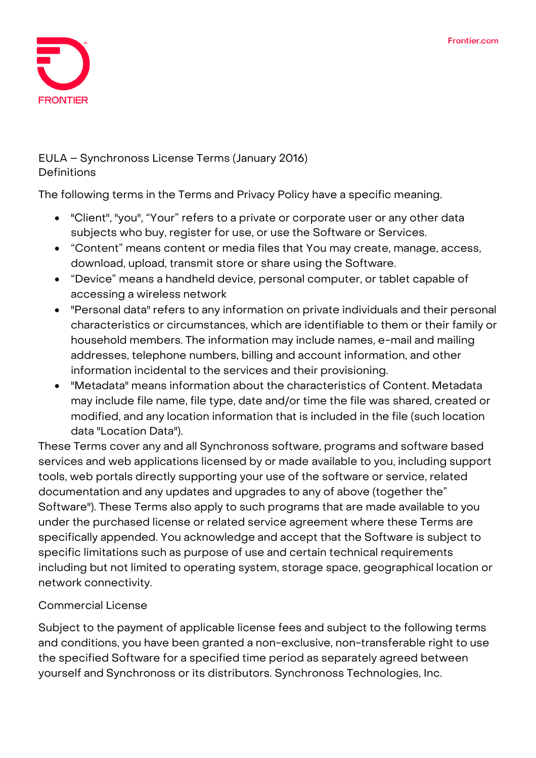

# **EULA – Synchronoss License Terms (January 2016) Definitions**

The following terms in the Terms and Privacy Policy have a specific meaning.

- "Client", "you", "Your" refers to a private or corporate user or any other data subjects who buy, register for use, or use the Software or Services.
- "Content" means content or media files that You may create, manage, access, download, upload, transmit store or share using the Software.
- "Device" means a handheld device, personal computer, or tablet capable of accessing a wireless network
- "Personal data" refers to any information on private individuals and their personal characteristics or circumstances, which are identifiable to them or their family or household members. The information may include names, e-mail and mailing addresses, telephone numbers, billing and account information, and other information incidental to the services and their provisioning.
- "Metadata" means information about the characteristics of Content. Metadata may include file name, file type, date and/or time the file was shared, created or modified, and any location information that is included in the file (such location data "Location Data").

These Terms cover any and all Synchronoss software, programs and software based services and web applications licensed by or made available to you, including support tools, web portals directly supporting your use of the software or service, related documentation and any updates and upgrades to any of above (together the" Software"). These Terms also apply to such programs that are made available to you under the purchased license or related service agreement where these Terms are specifically appended. You acknowledge and accept that the Software is subject to specific limitations such as purpose of use and certain technical requirements including but not limited to operating system, storage space, geographical location or network connectivity.

# **Commercial License**

Subject to the payment of applicable license fees and subject to the following terms and conditions, you have been granted a non-exclusive, non-transferable right to use the specified Software for a specified time period as separately agreed between yourself and Synchronoss or its distributors. Synchronoss Technologies, Inc.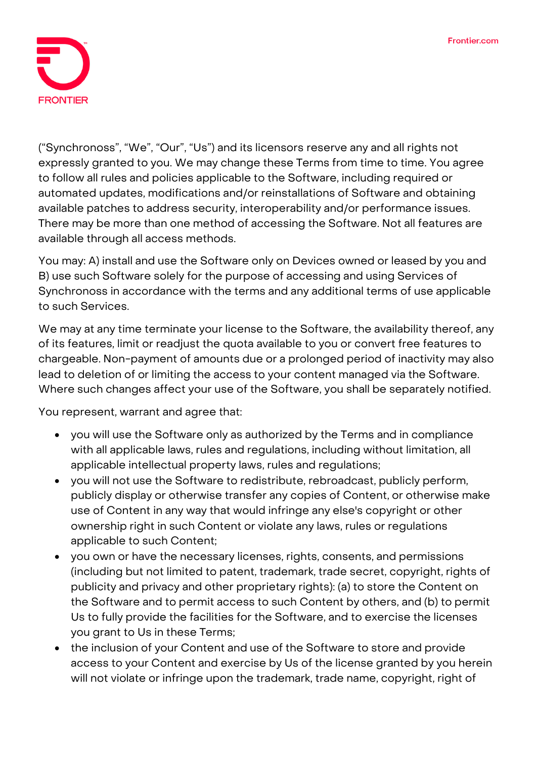

("Synchronoss", "We", "Our", "Us") and its licensors reserve any and all rights not expressly granted to you. We may change these Terms from time to time. You agree to follow all rules and policies applicable to the Software, including required or automated updates, modifications and/or reinstallations of Software and obtaining available patches to address security, interoperability and/or performance issues. There may be more than one method of accessing the Software. Not all features are available through all access methods.

You may: A) install and use the Software only on Devices owned or leased by you and B) use such Software solely for the purpose of accessing and using Services of Synchronoss in accordance with the terms and any additional terms of use applicable to such Services.

We may at any time terminate your license to the Software, the availability thereof, any of its features, limit or readjust the quota available to you or convert free features to chargeable. Non-payment of amounts due or a prolonged period of inactivity may also lead to deletion of or limiting the access to your content managed via the Software. Where such changes affect your use of the Software, you shall be separately notified.

You represent, warrant and agree that:

- you will use the Software only as authorized by the Terms and in compliance with all applicable laws, rules and regulations, including without limitation, all applicable intellectual property laws, rules and regulations;
- you will not use the Software to redistribute, rebroadcast, publicly perform, publicly display or otherwise transfer any copies of Content, or otherwise make use of Content in any way that would infringe any else's copyright or other ownership right in such Content or violate any laws, rules or regulations applicable to such Content;
- you own or have the necessary licenses, rights, consents, and permissions (including but not limited to patent, trademark, trade secret, copyright, rights of publicity and privacy and other proprietary rights): (a) to store the Content on the Software and to permit access to such Content by others, and (b) to permit Us to fully provide the facilities for the Software, and to exercise the licenses you grant to Us in these Terms;
- the inclusion of your Content and use of the Software to store and provide access to your Content and exercise by Us of the license granted by you herein will not violate or infringe upon the trademark, trade name, copyright, right of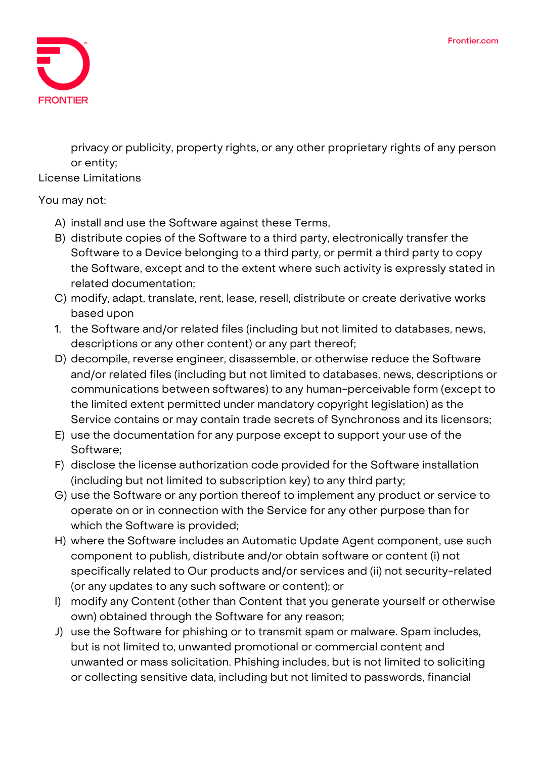

privacy or publicity, property rights, or any other proprietary rights of any person or entity;

**License Limitations**

### You may not:

- A) install and use the Software against these Terms,
- B) distribute copies of the Software to a third party, electronically transfer the Software to a Device belonging to a third party, or permit a third party to copy the Software, except and to the extent where such activity is expressly stated in related documentation;
- C) modify, adapt, translate, rent, lease, resell, distribute or create derivative works based upon
- 1. the Software and/or related files (including but not limited to databases, news, descriptions or any other content) or any part thereof;
- D) decompile, reverse engineer, disassemble, or otherwise reduce the Software and/or related files (including but not limited to databases, news, descriptions or communications between softwares) to any human-perceivable form (except to the limited extent permitted under mandatory copyright legislation) as the Service contains or may contain trade secrets of Synchronoss and its licensors;
- E) use the documentation for any purpose except to support your use of the Software;
- F) disclose the license authorization code provided for the Software installation (including but not limited to subscription key) to any third party;
- G) use the Software or any portion thereof to implement any product or service to operate on or in connection with the Service for any other purpose than for which the Software is provided;
- H) where the Software includes an Automatic Update Agent component, use such component to publish, distribute and/or obtain software or content (i) not specifically related to Our products and/or services and (ii) not security-related (or any updates to any such software or content); or
- I) modify any Content (other than Content that you generate yourself or otherwise own) obtained through the Software for any reason;
- J) use the Software for phishing or to transmit spam or malware. Spam includes, but is not limited to, unwanted promotional or commercial content and unwanted or mass solicitation. Phishing includes, but is not limited to soliciting or collecting sensitive data, including but not limited to passwords, financial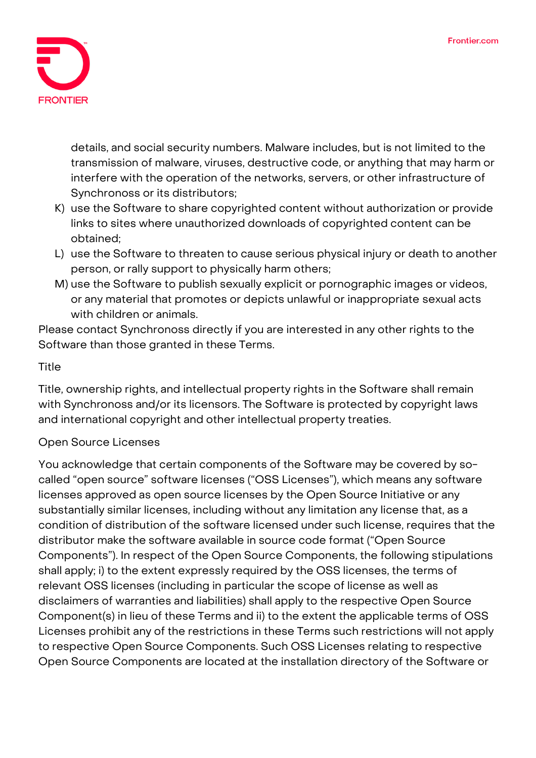

details, and social security numbers. Malware includes, but is not limited to the transmission of malware, viruses, destructive code, or anything that may harm or interfere with the operation of the networks, servers, or other infrastructure of Synchronoss or its distributors;

- K) use the Software to share copyrighted content without authorization or provide links to sites where unauthorized downloads of copyrighted content can be obtained;
- L) use the Software to threaten to cause serious physical injury or death to another person, or rally support to physically harm others;
- M) use the Software to publish sexually explicit or pornographic images or videos, or any material that promotes or depicts unlawful or inappropriate sexual acts with children or animals.

Please contact Synchronoss directly if you are interested in any other rights to the Software than those granted in these Terms.

# **Title**

Title, ownership rights, and intellectual property rights in the Software shall remain with Synchronoss and/or its licensors. The Software is protected by copyright laws and international copyright and other intellectual property treaties.

# **Open Source Licenses**

You acknowledge that certain components of the Software may be covered by socalled "open source" software licenses ("OSS Licenses"), which means any software licenses approved as open source licenses by the Open Source Initiative or any substantially similar licenses, including without any limitation any license that, as a condition of distribution of the software licensed under such license, requires that the distributor make the software available in source code format ("Open Source Components"). In respect of the Open Source Components, the following stipulations shall apply; i) to the extent expressly required by the OSS licenses, the terms of relevant OSS licenses (including in particular the scope of license as well as disclaimers of warranties and liabilities) shall apply to the respective Open Source Component(s) in lieu of these Terms and ii) to the extent the applicable terms of OSS Licenses prohibit any of the restrictions in these Terms such restrictions will not apply to respective Open Source Components. Such OSS Licenses relating to respective Open Source Components are located at the installation directory of the Software or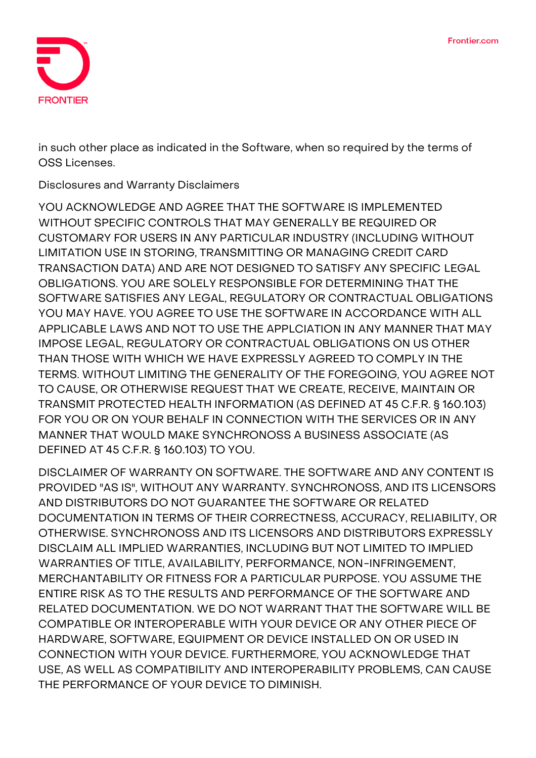

in such other place as indicated in the Software, when so required by the terms of OSS Licenses.

**Disclosures and Warranty Disclaimers**

**YOU ACKNOWLEDGE AND AGREE THAT THE SOFTWARE IS IMPLEMENTED WITHOUT SPECIFIC CONTROLS THAT MAY GENERALLY BE REQUIRED OR CUSTOMARY FOR USERS IN ANY PARTICULAR INDUSTRY (INCLUDING WITHOUT LIMITATION USE IN STORING, TRANSMITTING OR MANAGING CREDIT CARD TRANSACTION DATA) AND ARE NOT DESIGNED TO SATISFY ANY SPECIFIC LEGAL OBLIGATIONS. YOU ARE SOLELY RESPONSIBLE FOR DETERMINING THAT THE SOFTWARE SATISFIES ANY LEGAL, REGULATORY OR CONTRACTUAL OBLIGATIONS YOU MAY HAVE. YOU AGREE TO USE THE SOFTWARE IN ACCORDANCE WITH ALL APPLICABLE LAWS AND NOT TO USE THE APPLCIATION IN ANY MANNER THAT MAY IMPOSE LEGAL, REGULATORY OR CONTRACTUAL OBLIGATIONS ON US OTHER THAN THOSE WITH WHICH WE HAVE EXPRESSLY AGREED TO COMPLY IN THE TERMS. WITHOUT LIMITING THE GENERALITY OF THE FOREGOING, YOU AGREE NOT TO CAUSE, OR OTHERWISE REQUEST THAT WE CREATE, RECEIVE, MAINTAIN OR TRANSMIT PROTECTED HEALTH INFORMATION (AS DEFINED AT 45 C.F.R. § 160.103) FOR YOU OR ON YOUR BEHALF IN CONNECTION WITH THE SERVICES OR IN ANY MANNER THAT WOULD MAKE SYNCHRONOSS A BUSINESS ASSOCIATE (AS DEFINED AT 45 C.F.R. § 160.103) TO YOU.**

**DISCLAIMER OF WARRANTY ON SOFTWARE. THE SOFTWARE AND ANY CONTENT IS PROVIDED "AS IS", WITHOUT ANY WARRANTY. SYNCHRONOSS, AND ITS LICENSORS AND DISTRIBUTORS DO NOT GUARANTEE THE SOFTWARE OR RELATED DOCUMENTATION IN TERMS OF THEIR CORRECTNESS, ACCURACY, RELIABILITY, OR OTHERWISE. SYNCHRONOSS AND ITS LICENSORS AND DISTRIBUTORS EXPRESSLY DISCLAIM ALL IMPLIED WARRANTIES, INCLUDING BUT NOT LIMITED TO IMPLIED WARRANTIES OF TITLE, AVAILABILITY, PERFORMANCE, NON-INFRINGEMENT, MERCHANTABILITY OR FITNESS FOR A PARTICULAR PURPOSE. YOU ASSUME THE ENTIRE RISK AS TO THE RESULTS AND PERFORMANCE OF THE SOFTWARE AND RELATED DOCUMENTATION. WE DO NOT WARRANT THAT THE SOFTWARE WILL BE COMPATIBLE OR INTEROPERABLE WITH YOUR DEVICE OR ANY OTHER PIECE OF HARDWARE, SOFTWARE, EQUIPMENT OR DEVICE INSTALLED ON OR USED IN CONNECTION WITH YOUR DEVICE. FURTHERMORE, YOU ACKNOWLEDGE THAT USE, AS WELL AS COMPATIBILITY AND INTEROPERABILITY PROBLEMS, CAN CAUSE THE PERFORMANCE OF YOUR DEVICE TO DIMINISH.**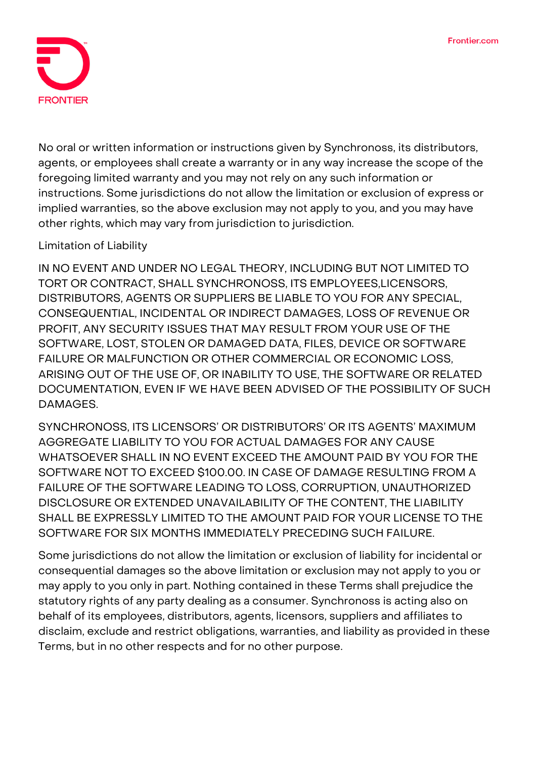

No oral or written information or instructions given by Synchronoss, its distributors, agents, or employees shall create a warranty or in any way increase the scope of the foregoing limited warranty and you may not rely on any such information or instructions. Some jurisdictions do not allow the limitation or exclusion of express or implied warranties, so the above exclusion may not apply to you, and you may have other rights, which may vary from jurisdiction to jurisdiction.

## **Limitation of Liability**

IN NO EVENT AND UNDER NO LEGAL THEORY, INCLUDING BUT NOT LIMITED TO TORT OR CONTRACT, SHALL SYNCHRONOSS, ITS EMPLOYEES,LICENSORS, DISTRIBUTORS, AGENTS OR SUPPLIERS BE LIABLE TO YOU FOR ANY SPECIAL, CONSEQUENTIAL, INCIDENTAL OR INDIRECT DAMAGES, LOSS OF REVENUE OR PROFIT, ANY SECURITY ISSUES THAT MAY RESULT FROM YOUR USE OF THE SOFTWARE, LOST, STOLEN OR DAMAGED DATA, FILES, DEVICE OR SOFTWARE FAILURE OR MALFUNCTION OR OTHER COMMERCIAL OR ECONOMIC LOSS, ARISING OUT OF THE USE OF, OR INABILITY TO USE, THE SOFTWARE OR RELATED DOCUMENTATION, EVEN IF WE HAVE BEEN ADVISED OF THE POSSIBILITY OF SUCH DAMAGES.

SYNCHRONOSS, ITS LICENSORS' OR DISTRIBUTORS' OR ITS AGENTS' MAXIMUM AGGREGATE LIABILITY TO YOU FOR ACTUAL DAMAGES FOR ANY CAUSE WHATSOEVER SHALL IN NO EVENT EXCEED THE AMOUNT PAID BY YOU FOR THE SOFTWARE NOT TO EXCEED \$100.00. IN CASE OF DAMAGE RESULTING FROM A FAILURE OF THE SOFTWARE LEADING TO LOSS, CORRUPTION, UNAUTHORIZED DISCLOSURE OR EXTENDED UNAVAILABILITY OF THE CONTENT, THE LIABILITY SHALL BE EXPRESSLY LIMITED TO THE AMOUNT PAID FOR YOUR LICENSE TO THE SOFTWARE FOR SIX MONTHS IMMEDIATELY PRECEDING SUCH FAILURE.

Some jurisdictions do not allow the limitation or exclusion of liability for incidental or consequential damages so the above limitation or exclusion may not apply to you or may apply to you only in part. Nothing contained in these Terms shall prejudice the statutory rights of any party dealing as a consumer. Synchronoss is acting also on behalf of its employees, distributors, agents, licensors, suppliers and affiliates to disclaim, exclude and restrict obligations, warranties, and liability as provided in these Terms, but in no other respects and for no other purpose.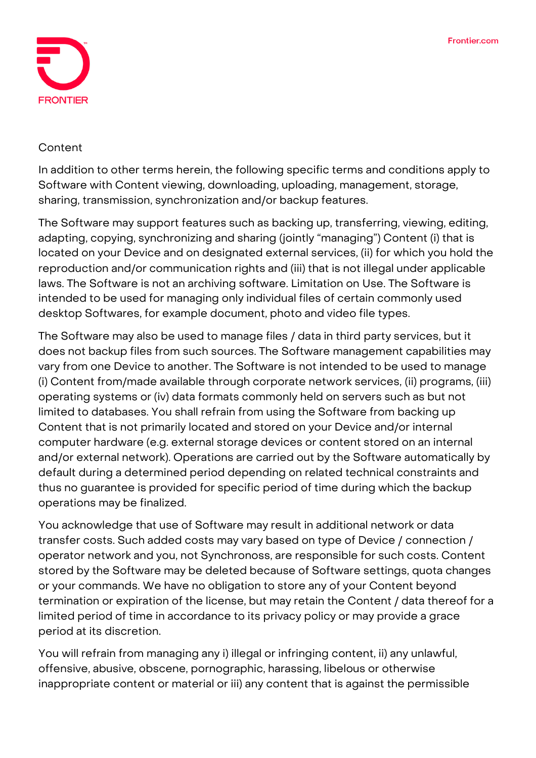

#### **Content**

In addition to other terms herein, the following specific terms and conditions apply to Software with Content viewing, downloading, uploading, management, storage, sharing, transmission, synchronization and/or backup features.

The Software may support features such as backing up, transferring, viewing, editing, adapting, copying, synchronizing and sharing (jointly "managing") Content (i) that is located on your Device and on designated external services, (ii) for which you hold the reproduction and/or communication rights and (iii) that is not illegal under applicable laws. The Software is not an archiving software. Limitation on Use. The Software is intended to be used for managing only individual files of certain commonly used desktop Softwares, for example document, photo and video file types.

The Software may also be used to manage files / data in third party services, but it does not backup files from such sources. The Software management capabilities may vary from one Device to another. The Software is not intended to be used to manage (i) Content from/made available through corporate network services, (ii) programs, (iii) operating systems or (iv) data formats commonly held on servers such as but not limited to databases. You shall refrain from using the Software from backing up Content that is not primarily located and stored on your Device and/or internal computer hardware (e.g. external storage devices or content stored on an internal and/or external network). Operations are carried out by the Software automatically by default during a determined period depending on related technical constraints and thus no guarantee is provided for specific period of time during which the backup operations may be finalized.

You acknowledge that use of Software may result in additional network or data transfer costs. Such added costs may vary based on type of Device / connection / operator network and you, not Synchronoss, are responsible for such costs. Content stored by the Software may be deleted because of Software settings, quota changes or your commands. We have no obligation to store any of your Content beyond termination or expiration of the license, but may retain the Content / data thereof for a limited period of time in accordance to its privacy policy or may provide a grace period at its discretion.

You will refrain from managing any i) illegal or infringing content, ii) any unlawful, offensive, abusive, obscene, pornographic, harassing, libelous or otherwise inappropriate content or material or iii) any content that is against the permissible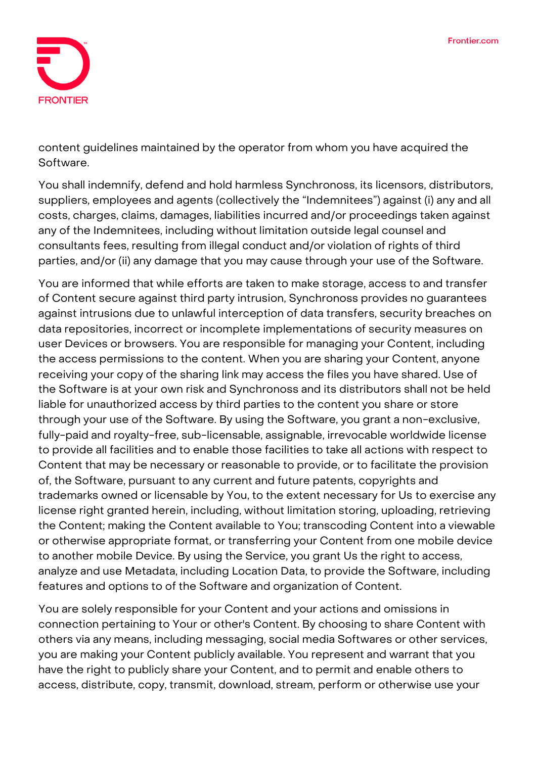

content guidelines maintained by the operator from whom you have acquired the Software.

You shall indemnify, defend and hold harmless Synchronoss, its licensors, distributors, suppliers, employees and agents (collectively the "Indemnitees") against (i) any and all costs, charges, claims, damages, liabilities incurred and/or proceedings taken against any of the Indemnitees, including without limitation outside legal counsel and consultants fees, resulting from illegal conduct and/or violation of rights of third parties, and/or (ii) any damage that you may cause through your use of the Software.

You are informed that while efforts are taken to make storage, access to and transfer of Content secure against third party intrusion, Synchronoss provides no guarantees against intrusions due to unlawful interception of data transfers, security breaches on data repositories, incorrect or incomplete implementations of security measures on user Devices or browsers. You are responsible for managing your Content, including the access permissions to the content. When you are sharing your Content, anyone receiving your copy of the sharing link may access the files you have shared. Use of the Software is at your own risk and Synchronoss and its distributors shall not be held liable for unauthorized access by third parties to the content you share or store through your use of the Software. By using the Software, you grant a non-exclusive, fully-paid and royalty-free, sub-licensable, assignable, irrevocable worldwide license to provide all facilities and to enable those facilities to take all actions with respect to Content that may be necessary or reasonable to provide, or to facilitate the provision of, the Software, pursuant to any current and future patents, copyrights and trademarks owned or licensable by You, to the extent necessary for Us to exercise any license right granted herein, including, without limitation storing, uploading, retrieving the Content; making the Content available to You; transcoding Content into a viewable or otherwise appropriate format, or transferring your Content from one mobile device to another mobile Device. By using the Service, you grant Us the right to access, analyze and use Metadata, including Location Data, to provide the Software, including features and options to of the Software and organization of Content.

You are solely responsible for your Content and your actions and omissions in connection pertaining to Your or other's Content. By choosing to share Content with others via any means, including messaging, social media Softwares or other services, you are making your Content publicly available. You represent and warrant that you have the right to publicly share your Content, and to permit and enable others to access, distribute, copy, transmit, download, stream, perform or otherwise use your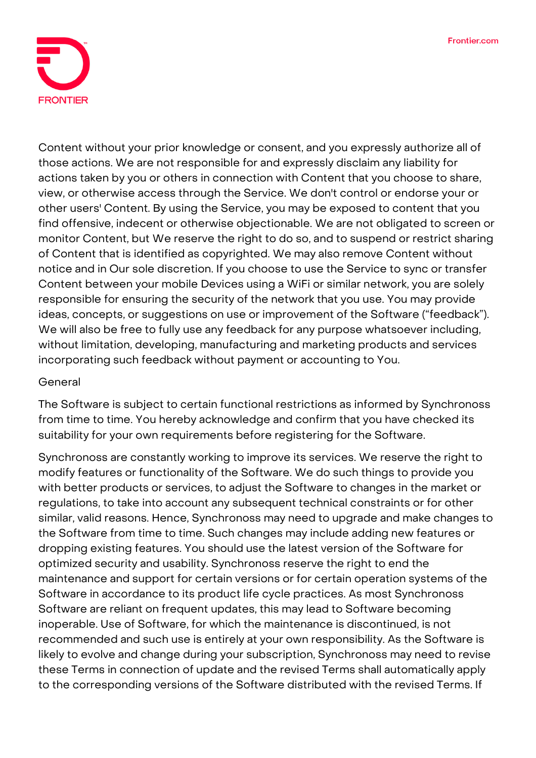

Content without your prior knowledge or consent, and you expressly authorize all of those actions. We are not responsible for and expressly disclaim any liability for actions taken by you or others in connection with Content that you choose to share, view, or otherwise access through the Service. We don't control or endorse your or other users' Content. By using the Service, you may be exposed to content that you find offensive, indecent or otherwise objectionable. We are not obligated to screen or monitor Content, but We reserve the right to do so, and to suspend or restrict sharing of Content that is identified as copyrighted. We may also remove Content without notice and in Our sole discretion. If you choose to use the Service to sync or transfer Content between your mobile Devices using a WiFi or similar network, you are solely responsible for ensuring the security of the network that you use. You may provide ideas, concepts, or suggestions on use or improvement of the Software ("feedback"). We will also be free to fully use any feedback for any purpose whatsoever including, without limitation, developing, manufacturing and marketing products and services incorporating such feedback without payment or accounting to You.

#### **General**

The Software is subject to certain functional restrictions as informed by Synchronoss from time to time. You hereby acknowledge and confirm that you have checked its suitability for your own requirements before registering for the Software.

Synchronoss are constantly working to improve its services. We reserve the right to modify features or functionality of the Software. We do such things to provide you with better products or services, to adjust the Software to changes in the market or regulations, to take into account any subsequent technical constraints or for other similar, valid reasons. Hence, Synchronoss may need to upgrade and make changes to the Software from time to time. Such changes may include adding new features or dropping existing features. You should use the latest version of the Software for optimized security and usability. Synchronoss reserve the right to end the maintenance and support for certain versions or for certain operation systems of the Software in accordance to its product life cycle practices. As most Synchronoss Software are reliant on frequent updates, this may lead to Software becoming inoperable. Use of Software, for which the maintenance is discontinued, is not recommended and such use is entirely at your own responsibility. As the Software is likely to evolve and change during your subscription, Synchronoss may need to revise these Terms in connection of update and the revised Terms shall automatically apply to the corresponding versions of the Software distributed with the revised Terms. If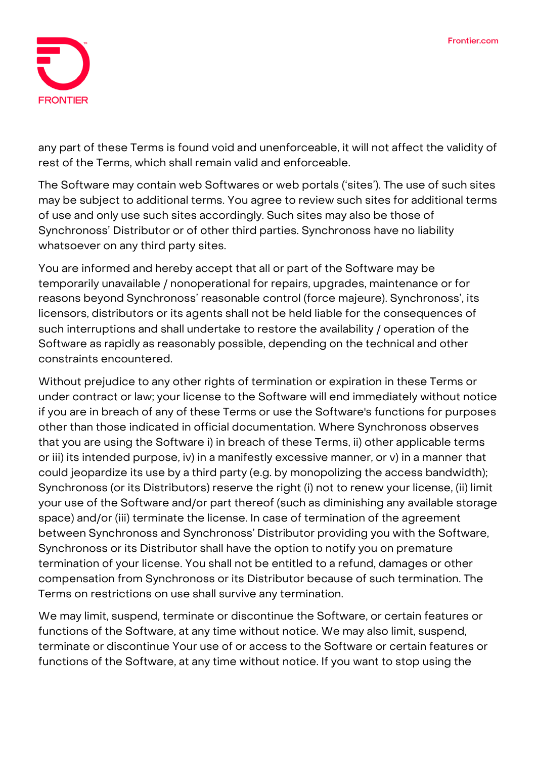

any part of these Terms is found void and unenforceable, it will not affect the validity of rest of the Terms, which shall remain valid and enforceable.

The Software may contain web Softwares or web portals ('sites'). The use of such sites may be subject to additional terms. You agree to review such sites for additional terms of use and only use such sites accordingly. Such sites may also be those of Synchronoss' Distributor or of other third parties. Synchronoss have no liability whatsoever on any third party sites.

You are informed and hereby accept that all or part of the Software may be temporarily unavailable / nonoperational for repairs, upgrades, maintenance or for reasons beyond Synchronoss' reasonable control (force majeure). Synchronoss', its licensors, distributors or its agents shall not be held liable for the consequences of such interruptions and shall undertake to restore the availability / operation of the Software as rapidly as reasonably possible, depending on the technical and other constraints encountered.

Without prejudice to any other rights of termination or expiration in these Terms or under contract or law; your license to the Software will end immediately without notice if you are in breach of any of these Terms or use the Software's functions for purposes other than those indicated in official documentation. Where Synchronoss observes that you are using the Software i) in breach of these Terms, ii) other applicable terms or iii) its intended purpose, iv) in a manifestly excessive manner, or v) in a manner that could jeopardize its use by a third party (e.g. by monopolizing the access bandwidth); Synchronoss (or its Distributors) reserve the right (i) not to renew your license, (ii) limit your use of the Software and/or part thereof (such as diminishing any available storage space) and/or (iii) terminate the license. In case of termination of the agreement between Synchronoss and Synchronoss' Distributor providing you with the Software, Synchronoss or its Distributor shall have the option to notify you on premature termination of your license. You shall not be entitled to a refund, damages or other compensation from Synchronoss or its Distributor because of such termination. The Terms on restrictions on use shall survive any termination.

We may limit, suspend, terminate or discontinue the Software, or certain features or functions of the Software, at any time without notice. We may also limit, suspend, terminate or discontinue Your use of or access to the Software or certain features or functions of the Software, at any time without notice. If you want to stop using the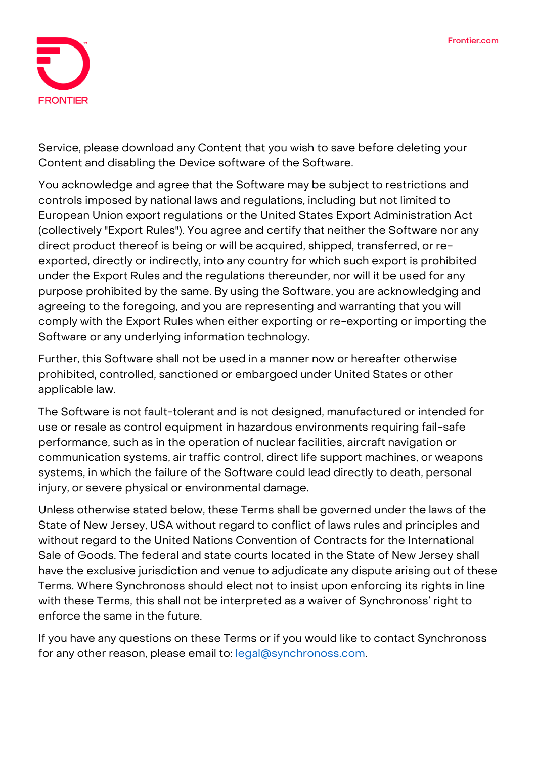

Service, please download any Content that you wish to save before deleting your Content and disabling the Device software of the Software.

You acknowledge and agree that the Software may be subject to restrictions and controls imposed by national laws and regulations, including but not limited to European Union export regulations or the United States Export Administration Act (collectively "Export Rules"). You agree and certify that neither the Software nor any direct product thereof is being or will be acquired, shipped, transferred, or reexported, directly or indirectly, into any country for which such export is prohibited under the Export Rules and the regulations thereunder, nor will it be used for any purpose prohibited by the same. By using the Software, you are acknowledging and agreeing to the foregoing, and you are representing and warranting that you will comply with the Export Rules when either exporting or re-exporting or importing the Software or any underlying information technology.

Further, this Software shall not be used in a manner now or hereafter otherwise prohibited, controlled, sanctioned or embargoed under United States or other applicable law.

The Software is not fault-tolerant and is not designed, manufactured or intended for use or resale as control equipment in hazardous environments requiring fail-safe performance, such as in the operation of nuclear facilities, aircraft navigation or communication systems, air traffic control, direct life support machines, or weapons systems, in which the failure of the Software could lead directly to death, personal injury, or severe physical or environmental damage.

Unless otherwise stated below, these Terms shall be governed under the laws of the State of New Jersey, USA without regard to conflict of laws rules and principles and without regard to the United Nations Convention of Contracts for the International Sale of Goods. The federal and state courts located in the State of New Jersey shall have the exclusive jurisdiction and venue to adjudicate any dispute arising out of these Terms. Where Synchronoss should elect not to insist upon enforcing its rights in line with these Terms, this shall not be interpreted as a waiver of Synchronoss' right to enforce the same in the future.

If you have any questions on these Terms or if you would like to contact Synchronoss for any other reason, please email to: [legal@synchronoss.com.](mailto:legal@synchronoss.com)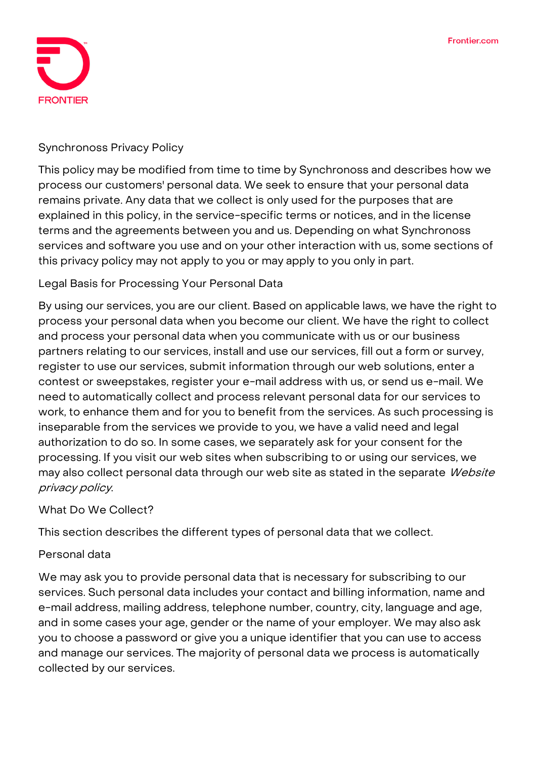

#### **Synchronoss Privacy Policy**

This policy may be modified from time to time by Synchronoss and describes how we process our customers' personal data. We seek to ensure that your personal data remains private. Any data that we collect is only used for the purposes that are explained in this policy, in the service-specific terms or notices, and in the license terms and the agreements between you and us. Depending on what Synchronoss services and software you use and on your other interaction with us, some sections of this privacy policy may not apply to you or may apply to you only in part.

## **Legal Basis for Processing Your Personal Data**

By using our services, you are our client. Based on applicable laws, we have the right to process your personal data when you become our client. We have the right to collect and process your personal data when you communicate with us or our business partners relating to our services, install and use our services, fill out a form or survey, register to use our services, submit information through our web solutions, enter a contest or sweepstakes, register your e-mail address with us, or send us e-mail. We need to automatically collect and process relevant personal data for our services to work, to enhance them and for you to benefit from the services. As such processing is inseparable from the services we provide to you, we have a valid need and legal authorization to do so. In some cases, we separately ask for your consent for the processing. If you visit our web sites when subscribing to or using our services, we may also collect personal data through our web site as stated in the separate Website privacy policy.

#### **What Do We Collect?**

This section describes the different types of personal data that we collect.

#### **Personal data**

**We may ask you to provide** personal data that is necessary for subscribing to our services. Such personal data includes your contact and billing information, name and e-mail address, mailing address, telephone number, country, city, language and age, and in some cases your age, gender or the name of your employer. We may also ask you to choose a password or give you a unique identifier that you can use to access and manage our services. The majority of personal data we process is **automatically collected** by our services.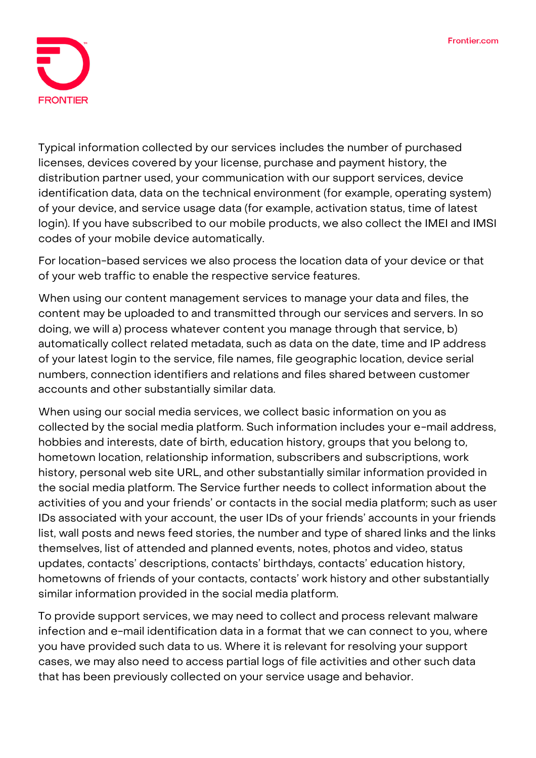

**Typical information collected by our services** includes the number of purchased licenses, devices covered by your license, purchase and payment history, the distribution partner used, your communication with our support services, device identification data, data on the technical environment (for example, operating system) of your device, and service usage data (for example, activation status, time of latest login). If you have subscribed to our **mobile products**, we also collect the IMEI and IMSI codes of your mobile device automatically.

For **location-based services** we also process the location data of your device or that of your web traffic to enable the respective service features.

When using our **content management services** to manage your data and files, the content may be uploaded to and transmitted through our services and servers. In so doing, we will a) process whatever content you manage through that service, b) automatically collect related metadata, such as data on the date, time and IP address of your latest login to the service, file names, file geographic location, device serial numbers, connection identifiers and relations and files shared between customer accounts and other substantially similar data.

When using our **social media services**, we collect basic information on you as collected by the social media platform. Such information includes your e-mail address, hobbies and interests, date of birth, education history, groups that you belong to, hometown location, relationship information, subscribers and subscriptions, work history, personal web site URL, and other substantially similar information provided in the social media platform. The Service further needs to collect information about the activities of you and your friends' or contacts in the social media platform; such as user IDs associated with your account, the user IDs of your friends' accounts in your friends list, wall posts and news feed stories, the number and type of shared links and the links themselves, list of attended and planned events, notes, photos and video, status updates, contacts' descriptions, contacts' birthdays, contacts' education history, hometowns of friends of your contacts, contacts' work history and other substantially similar information provided in the social media platform.

To provide **support services**, we may need to collect and process relevant malware infection and e-mail identification data in a format that we can connect to you, where you have provided such data to us. Where it is relevant for resolving your support cases, we may also need to access partial logs of file activities and other such data that has been previously collected on your service usage and behavior.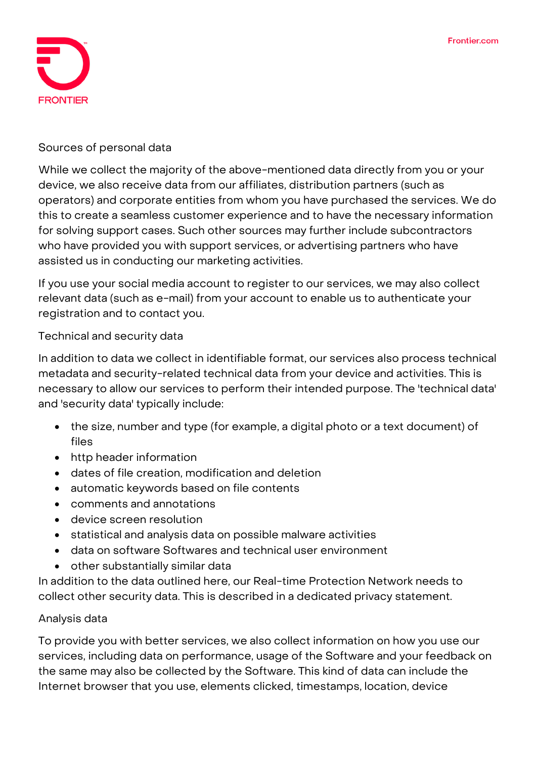

#### **Sources of personal data**

While we collect the majority of the above-mentioned data directly from you or your device, we also receive data from our affiliates, distribution partners (such as operators) and corporate entities from whom you have purchased the services. We do this to create a seamless customer experience and to have the necessary information for solving support cases. Such other sources may further include subcontractors who have provided you with support services, or advertising partners who have assisted us in conducting our marketing activities.

If you use your social media account to register to our services, we may also collect relevant data (such as e-mail) from your account to enable us to authenticate your registration and to contact you.

**Technical and security data**

In addition to data we collect in identifiable format, our services also process **technical metadata and security-related technical data** from your device and activities. This is necessary to allow our services to perform their intended purpose. The 'technical data' and 'security data' typically include:

- the size, number and type (for example, a digital photo or a text document) of files
- http header information
- dates of file creation, modification and deletion
- automatic keywords based on file contents
- comments and annotations
- device screen resolution
- statistical and analysis data on possible malware activities
- data on software Softwares and technical user environment
- other substantially similar data

In addition to the data outlined here, our Real-time Protection Network needs to collect other security data. This is described in a dedicated privacy statement.

#### **Analysis data**

To provide you with better services, we also collect information on how you use our services, including data on performance, usage of the Software and your feedback on the same may also be collected by the Software. This kind of data can include the Internet browser that you use, elements clicked, timestamps, location, device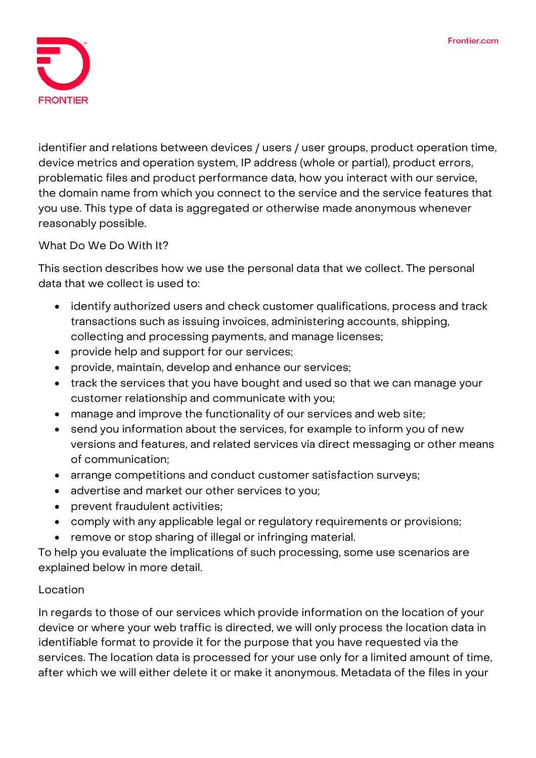

identifier and relations between devices / users / user groups, product operation time, device metrics and operation system, IP address (whole or partial), product errors, problematic files and product performance data, how you interact with our service, the domain name from which you connect to the service and the service features that you use. This type of data is aggregated or otherwise made anonymous whenever reasonably possible.

**What Do We Do With It?**

This section describes how we use the personal data that we collect. The personal data that we collect is used to:

- identify authorized users and check customer qualifications, process and track transactions such as issuing invoices, administering accounts, shipping, collecting and processing payments, and manage licenses;
- provide help and support for our services;
- provide, maintain, develop and enhance our services;
- track the services that you have bought and used so that we can manage your customer relationship and communicate with you;
- manage and improve the functionality of our services and web site;
- send you information about the services, for example to inform you of new versions and features, and related services via direct messaging or other means of communication;
- arrange competitions and conduct customer satisfaction surveys;
- advertise and market our other services to you;
- prevent fraudulent activities;
- comply with any applicable legal or regulatory requirements or provisions;
- remove or stop sharing of illegal or infringing material.

To help you evaluate the implications of such processing, some use scenarios are explained below in more detail.

#### **Location**

In regards to those of our services which provide information on the **location of your device** or where your **web traffic** is directed, we will only process the location data in identifiable format to provide it for the purpose that you have requested via the services. The location data is processed for your use only for a limited amount of time, after which we will either delete it or make it anonymous. Metadata of the files in your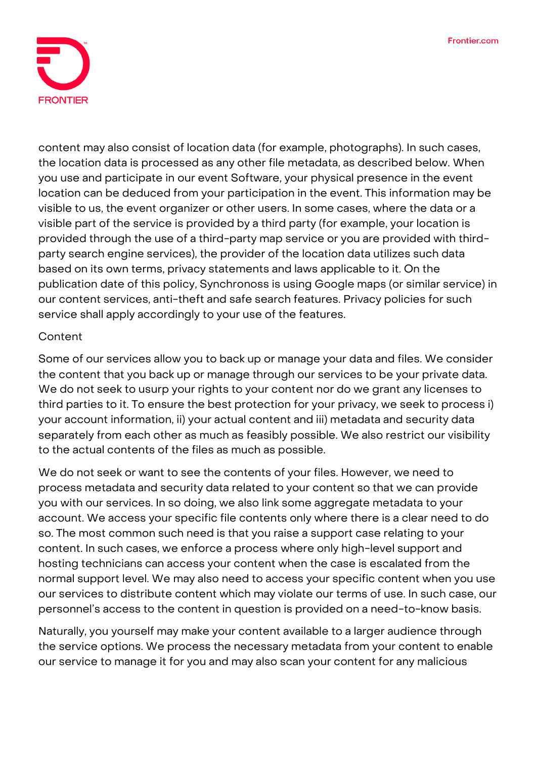

**content** may also consist of location data (for example, photographs). In such cases, the location data is processed as any other file metadata, as described below. When you use and participate in our event Software, your physical presence in the event location can be deduced from your participation in the event. This information may be visible to us, the event organizer or other users. In some cases, where the data or a visible part of the service is provided by a third party (for example, your location is provided through the use of a third-party map service or you are provided with thirdparty search engine services), the provider of the location data utilizes such data based on its own terms, privacy statements and laws applicable to it. On the publication date of this policy, Synchronoss is using Google maps (or similar service) in our content services, anti-theft and safe search features. Privacy policies for such service shall apply accordingly to your use of the features.

## **Content**

Some of our services allow you to back up or manage your data and files. We consider the content that you back up or manage through our services to be your private data. We do not seek to usurp your rights to your content nor do we grant any licenses to third parties to it. To ensure the best protection for your privacy, we seek to process i) your account information, ii) your actual content and iii) metadata and security data separately from each other as much as feasibly possible. We also restrict our visibility to the actual contents of the files as much as possible.

We do not seek or want to see the contents of your files. However, we need to process metadata and security data related to your content so that we can provide you with our services. In so doing, we also link some aggregate metadata to your account. We access your specific file contents only where there is a clear need to do so. The most common such need is that you raise a support case relating to your content. In such cases, we enforce a process where only high-level support and hosting technicians can access your content when the case is escalated from the normal support level. We may also need to access your specific content when you use our services to distribute content which may violate our terms of use. In such case, our personnel's access to the content in question is provided on a need-to-know basis.

Naturally, you yourself may make your content available to a larger audience through the service options. We process the necessary metadata from your content to enable our service to manage it for you and may also scan your content for any malicious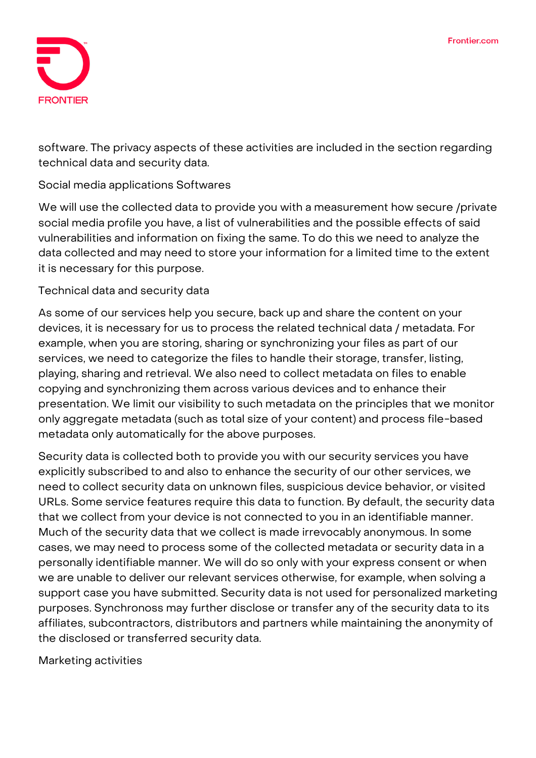

software. The privacy aspects of these activities are included in the section regarding technical data and security data.

## **Social media applications Softwares**

We will use the collected data to provide you with a measurement how secure /private social media profile you have, a list of vulnerabilities and the possible effects of said vulnerabilities and information on fixing the same. To do this we need to analyze the data collected and may need to store your information for a limited time to the extent it is necessary for this purpose.

#### **Technical data and security data**

As some of our services help you secure, back up and share the content on your devices, it is necessary for us to process the related technical data / metadata. For example, when you are storing, sharing or synchronizing your files as part of our services, we need to categorize the files to handle their storage, transfer, listing, playing, sharing and retrieval. We also need to collect metadata on files to enable copying and synchronizing them across various devices and to enhance their presentation. We limit our visibility to such metadata on the principles that we monitor only aggregate metadata (such as total size of your content) and process file-based metadata only automatically for the above purposes.

Security data is collected both to provide you with our security services you have explicitly subscribed to and also to enhance the security of our other services, we need to collect security data on unknown files, suspicious device behavior, or visited URLs. Some service features require this data to function. By default, the security data that we collect from your device is not connected to you in an identifiable manner. Much of the security data that we collect is made irrevocably anonymous. In some cases, we may need to process some of the collected metadata or security data in a personally identifiable manner. We will do so only with your express consent or when we are unable to deliver our relevant services otherwise, for example, when solving a support case you have submitted. Security data is not used for personalized marketing purposes. Synchronoss may further disclose or transfer any of the security data to its affiliates, subcontractors, distributors and partners while maintaining the anonymity of the disclosed or transferred security data.

**Marketing activities**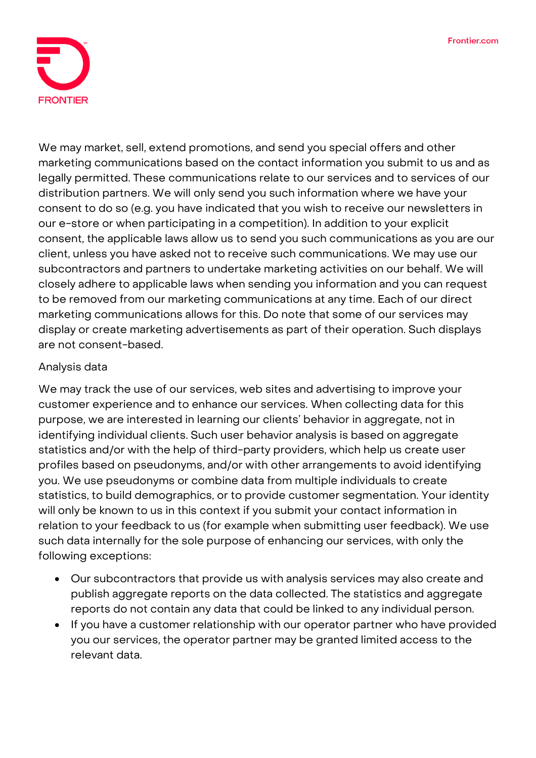

We may market, sell, extend promotions, and send you special offers and other marketing communications based on the contact information you submit to us and as legally permitted. These communications relate to our services and to services of our distribution partners. We will only send you such information where we have your consent to do so (e.g. you have indicated that you wish to receive our newsletters in our e-store or when participating in a competition). In addition to your explicit consent, the applicable laws allow us to send you such communications as you are our client, unless you have asked not to receive such communications. We may use our subcontractors and partners to undertake marketing activities on our behalf. We will closely adhere to applicable laws when sending you information and you can request to be removed from our marketing communications at any time. Each of our direct marketing communications allows for this. Do note that some of our services may display or create marketing advertisements as part of their operation. Such displays are not consent-based.

### **Analysis data**

We may track the use of our services, web sites and advertising to improve your customer experience and to enhance our services. When collecting data for this purpose, we are interested in learning our clients' behavior in aggregate, not in identifying individual clients. Such user behavior analysis is based on aggregate statistics and/or with the help of third-party providers, which help us create user profiles based on pseudonyms, and/or with other arrangements to avoid identifying you. We use pseudonyms or combine data from multiple individuals to create statistics, to build demographics, or to provide customer segmentation. Your identity will only be known to us in this context if you submit your contact information in relation to your feedback to us (for example when submitting user feedback). We use such data internally for the sole purpose of enhancing our services, with only the following exceptions:

- Our subcontractors that provide us with analysis services may also create and publish aggregate reports on the data collected. The statistics and aggregate reports do not contain any data that could be linked to any individual person.
- If you have a customer relationship with our operator partner who have provided you our services, the operator partner may be granted limited access to the relevant data.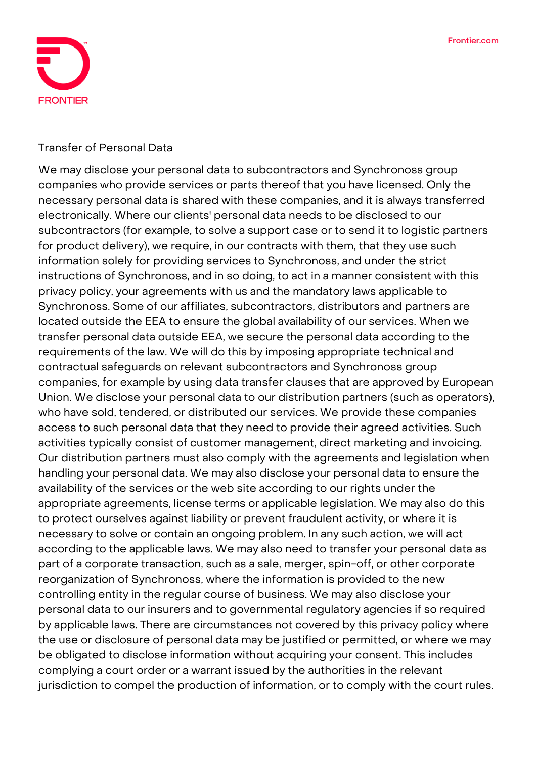

#### **Transfer of Personal Data**

We may disclose your personal data to subcontractors and Synchronoss group companies who provide services or parts thereof that you have licensed. Only the necessary personal data is shared with these companies, and it is always transferred electronically. Where our clients' personal data needs to be disclosed to our subcontractors (for example, to solve a support case or to send it to logistic partners for product delivery), we require, in our contracts with them, that they use such information solely for providing services to Synchronoss, and under the strict instructions of Synchronoss, and in so doing, to act in a manner consistent with this privacy policy, your agreements with us and the mandatory laws applicable to Synchronoss. Some of our affiliates, subcontractors, distributors and partners are located outside the EEA to ensure the global availability of our services. When we transfer personal data outside EEA, we secure the personal data according to the requirements of the law. We will do this by imposing appropriate technical and contractual safeguards on relevant subcontractors and Synchronoss group companies, for example by using data transfer clauses that are approved by European Union. We disclose your personal data to our distribution partners (such as operators), who have sold, tendered, or distributed our services. We provide these companies access to such personal data that they need to provide their agreed activities. Such activities typically consist of customer management, direct marketing and invoicing. Our distribution partners must also comply with the agreements and legislation when handling your personal data. We may also disclose your personal data to ensure the availability of the services or the web site according to our rights under the appropriate agreements, license terms or applicable legislation. We may also do this to protect ourselves against liability or prevent fraudulent activity, or where it is necessary to solve or contain an ongoing problem. In any such action, we will act according to the applicable laws. We may also need to transfer your personal data as part of a corporate transaction, such as a sale, merger, spin-off, or other corporate reorganization of Synchronoss, where the information is provided to the new controlling entity in the regular course of business. We may also disclose your personal data to our insurers and to governmental regulatory agencies if so required by applicable laws. There are circumstances not covered by this privacy policy where the use or disclosure of personal data may be justified or permitted, or where we may be obligated to disclose information without acquiring your consent. This includes complying a court order or a warrant issued by the authorities in the relevant jurisdiction to compel the production of information, or to comply with the court rules.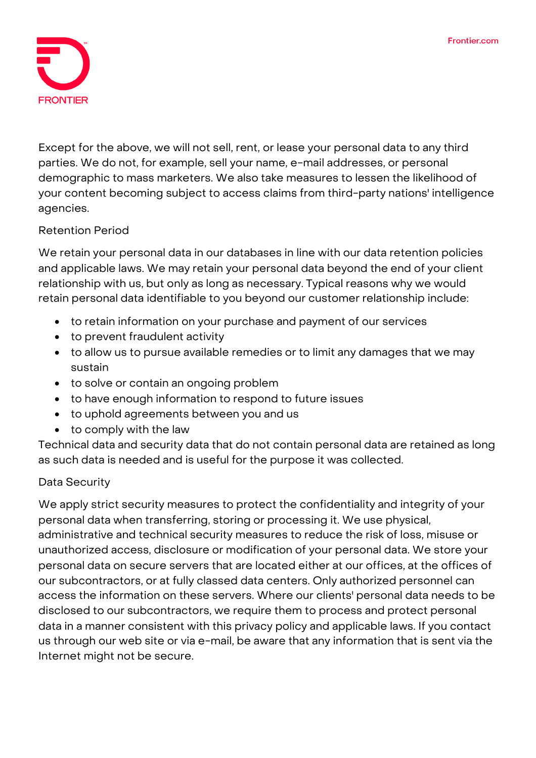

Except for the above, we will not sell, rent, or lease your personal data to any third parties. We do not, for example, sell your name, e-mail addresses, or personal demographic to mass marketers. We also take measures to lessen the likelihood of your content becoming subject to access claims from third-party nations' intelligence agencies.

## **Retention Period**

We retain your personal data in our databases in line with our data retention policies and applicable laws. We may retain your personal data beyond the end of your client relationship with us, but only as long as necessary. Typical reasons why we would retain personal data identifiable to you beyond our customer relationship include:

- to retain information on your purchase and payment of our services
- to prevent fraudulent activity
- to allow us to pursue available remedies or to limit any damages that we may sustain
- to solve or contain an ongoing problem
- to have enough information to respond to future issues
- to uphold agreements between you and us
- to comply with the law

Technical data and security data that do not contain personal data are retained as long as such data is needed and is useful for the purpose it was collected.

## **Data Security**

We apply strict security measures to protect the confidentiality and integrity of your personal data when transferring, storing or processing it. We use physical, administrative and technical security measures to reduce the risk of loss, misuse or unauthorized access, disclosure or modification of your personal data. We store your personal data on secure servers that are located either at our offices, at the offices of our subcontractors, or at fully classed data centers. Only authorized personnel can access the information on these servers. Where our clients' personal data needs to be disclosed to our subcontractors, we require them to process and protect personal data in a manner consistent with this privacy policy and applicable laws. If you contact us through our web site or via e-mail, be aware that any information that is sent via the Internet might not be secure.